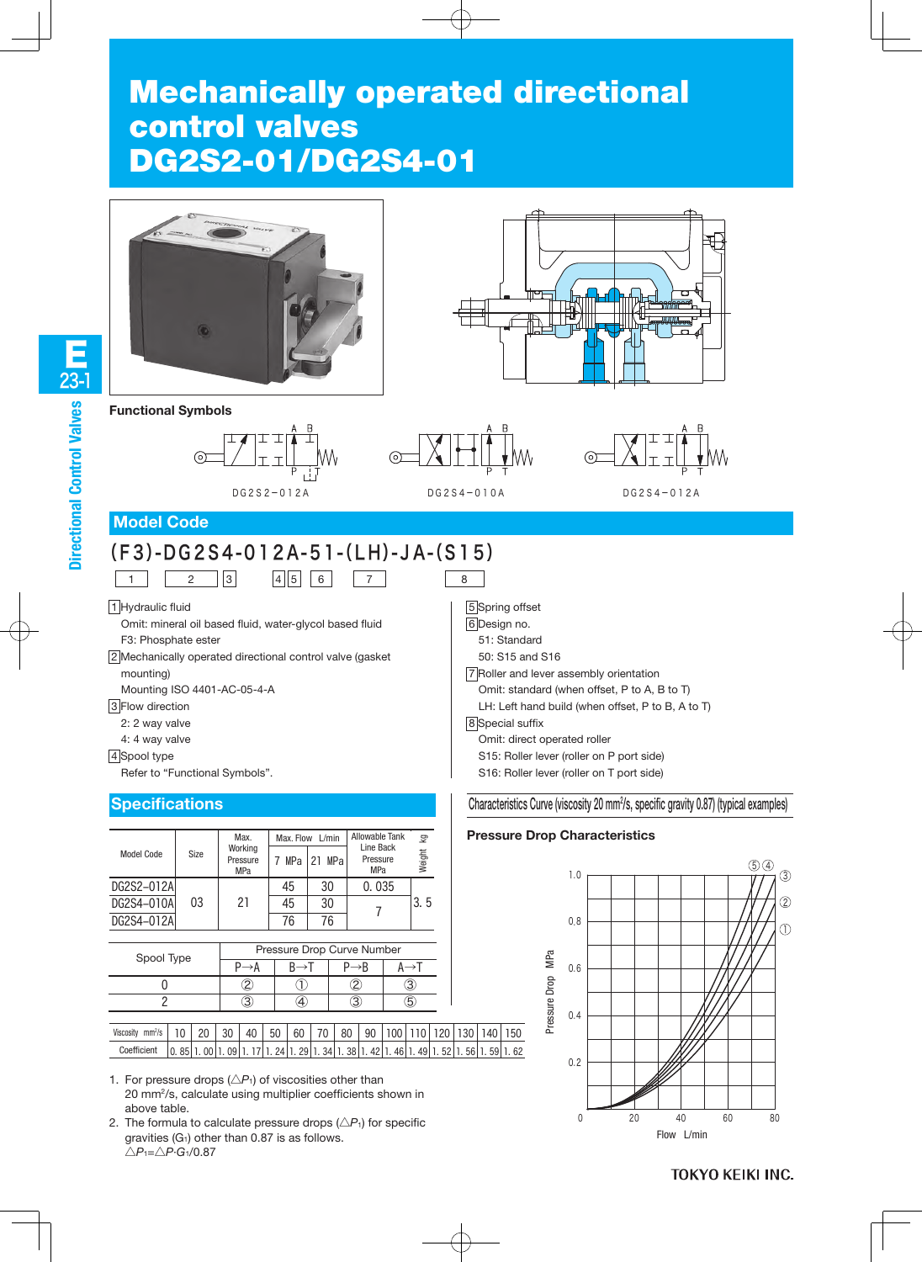# Mechanically operated directional control valves DG2S2-01/DG2S4-01





**Functional Symbols**





7 8



DG2S2-012A DG2S4-010A DG2S4-012A

## **Model Code**

# (F3)-DG2S4-012A-51-(LH)-JA-(S15)  $\boxed{1}$   $\boxed{2}$   $\boxed{3}$   $\boxed{4}$   $\boxed{5}$   $\boxed{6}$

1 Hydraulic fluid

Omit: mineral oil based fluid, water-glycol based fluid F3: Phosphate ester

2 Mechanically operated directional control valve (gasket mounting)

Mounting ISO 4401-AC-05-4-A

**3** Flow direction

- 2: 2 way valve
- 4: 4 way valve

4 Spool type

Refer to "Functional Symbols".

## **Specifications**

|            |      | Max.                              |     | Max. Flow L/min | Allowable Tank                      | Σō     |
|------------|------|-----------------------------------|-----|-----------------|-------------------------------------|--------|
| Model Code | Size | Working<br>Pressure<br><b>MPa</b> | MPa | 21 MPa          | Line Back<br>Pressure<br><b>MPa</b> | Weight |
| DG2S2-012A |      |                                   | 45  | 30              | 0.035                               |        |
| DG2S4-010A | 03   | 21                                | 45  | 30              |                                     | 3.5    |
| DG2S4-012A |      |                                   | 76  | 76              |                                     |        |

| Spool Type | Pressure Drop Curve Number |  |  |  |  |  |  |  |
|------------|----------------------------|--|--|--|--|--|--|--|
|            |                            |  |  |  |  |  |  |  |
|            |                            |  |  |  |  |  |  |  |
|            |                            |  |  |  |  |  |  |  |
|            |                            |  |  |  |  |  |  |  |

| mm <sup>2</sup> /s<br>Viscosity | $10 \mid 20 \mid 30$ |  | $40$ 50 | 60 I | $\sqrt{70}$ | 80 l |  |  |  | '90   100   110   120   130   140   150                                                                           |
|---------------------------------|----------------------|--|---------|------|-------------|------|--|--|--|-------------------------------------------------------------------------------------------------------------------|
| Coefficient                     |                      |  |         |      |             |      |  |  |  | <u>  0. 85  1. 00  1. 09  1. 17  1. 24  1. 29  1. 34  1. 38  1. 42  1. 46  1. 49  1. 52  1. 56  1. 59  1. 62 </u> |

1. For pressure drops  $(\triangle P_1)$  of viscosities other than 20 mm2/s, calculate using multiplier coefficients shown in above table.

2. The formula to calculate pressure drops  $(\triangle P_1)$  for specific gravities  $(G<sub>1</sub>)$  other than 0.87 is as follows. △*P*1=△*P*·*G*1/0.87

5 Spring offset 6 Design no. 51: Standard 50: S15 and S16 7 Roller and lever assembly orientation Omit: standard (when offset, P to A, B to T) LH: Left hand build (when offset, P to B, A to T) 8 Special suffix Omit: direct operated roller S15: Roller lever (roller on P port side) S16: Roller lever (roller on T port side)

#### Characteristics Curve (viscosity 20 mm<sup>2</sup>/s, specific gravity 0.87) (typical examples)

#### **Pressure Drop Characteristics**



**TOKYO KEIKI INC.**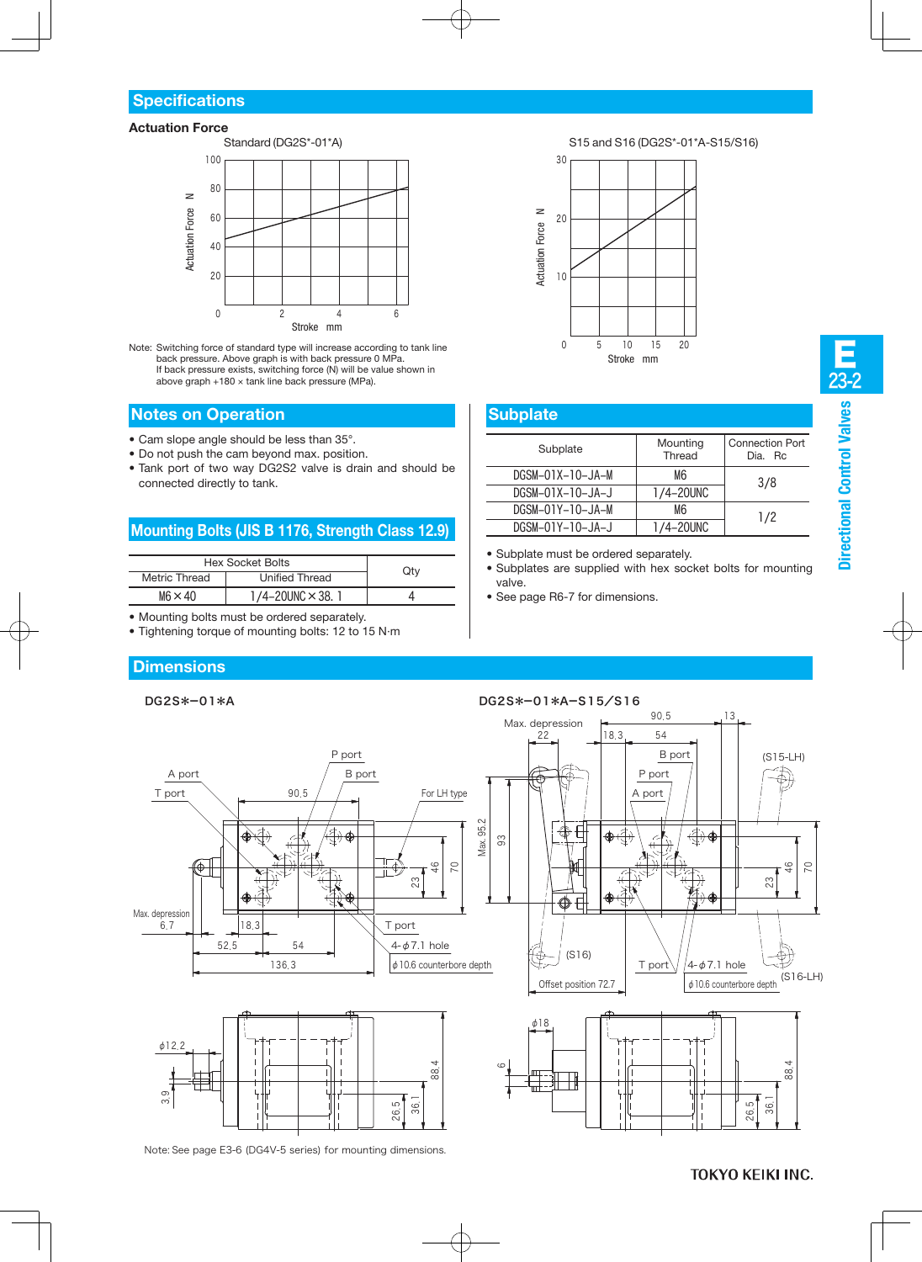#### **Actuation Force**



Note: Switching force of standard type will increase according to tank line back pressure. Above graph is with back pressure 0 MPa. If back pressure exists, switching force (N) will be value shown in above graph +180 × tank line back pressure (MPa).

#### **Notes on Operation**

- Cam slope angle should be less than 35°.
- Do not push the cam beyond max, position.
- Tank port of two way DG2S2 valve is drain and should be connected directly to tank.

# **Mounting Bolts (JIS B 1176, Strength Class 12.9)**

| <b>Hex Socket Bolts</b> |                               |     |
|-------------------------|-------------------------------|-----|
| Metric Thread           | <b>Unified Thread</b>         | Qty |
| $M6 \times 40$          | $1/4 - 20$ UNC $\times$ 38. 1 |     |

- Mounting bolts must be ordered separately.
- Tightening torque of mounting bolts: 12 to 15 N·m

## **Dimensions**



Note: See page E3-6 (DG4V-5 series) for mounting dimensions.



#### **Subplate**

| Subplate           | Mounting<br>Thread | <b>Connection Port</b><br>Dia. Rc. |  |  |
|--------------------|--------------------|------------------------------------|--|--|
| $DGSM-01X-10-JA-M$ | M6                 | 3/8                                |  |  |
| DGSM-01X-10-JA-J   | 1/4-20UNC          |                                    |  |  |
| DGSM-01Y-10-JA-M   | M6                 | 1/2                                |  |  |
| DGSM-01Y-10-JA-J   | 1/4-20UNC          |                                    |  |  |

- Subplate must be ordered separately.
- Subplates are supplied with hex socket bolts for mounting valve.
- See page R6-7 for dimensions.

#### **TOKYO KEIKI INC.**